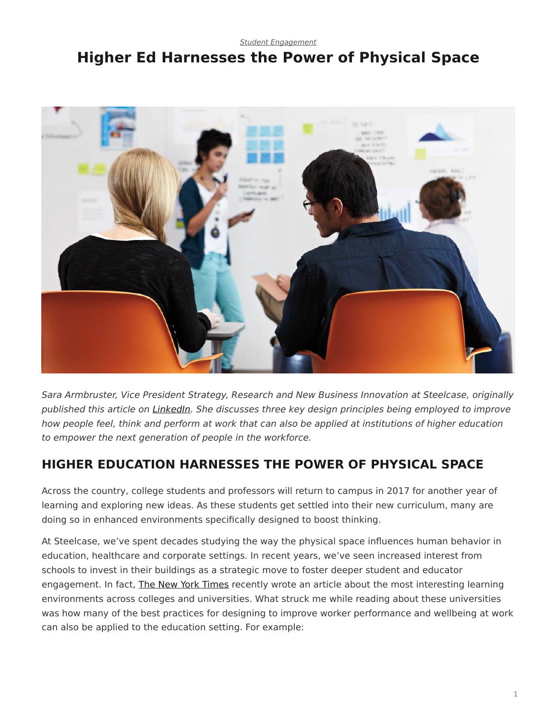*[Student Engagement](https://www.steelcase.com/research/topics/student-engagement/)*

# <span id="page-0-0"></span>**Higher Ed Harnesses the Power of Physical Space**



*Sara Armbruster, Vice President Strategy, Research and New Business Innovation at Steelcase, originally published this article on [LinkedIn.](https://www.linkedin.com/in/saraarmbruster) She discusses three key design principles being employed to improve how people feel, think and perform at work that can also be applied at institutions of higher education to empower the next generation of people in the workforce.*

#### **HIGHER EDUCATION HARNESSES THE POWER OF PHYSICAL SPACE**

Across the country, college students and professors will return to campus in 2017 for another year of learning and exploring new ideas. As these students get settled into their new curriculum, many are doing so in enhanced environments specifically designed to boost thinking.

At Steelcase, we've spent decades studying the way the physical space influences human behavior in education, healthcare and corporate settings. In recent years, we've seen increased interest from schools to invest in their buildings as a strategic move to foster deeper student and educator engagement. In fact, [The New York Times](http://www.nytimes.com/2016/08/07/education/edlife/innovation-campus-entrepreneurship-engineering-arts.html?smprod=nytcore-ipad&smid=nytcore-ipad-share&_r=2) recently wrote an article about the most interesting learning environments across colleges and universities. What struck me while reading about these universities was how many of the best practices for designing to improve worker performance and wellbeing at work can also be applied to the education setting. For example: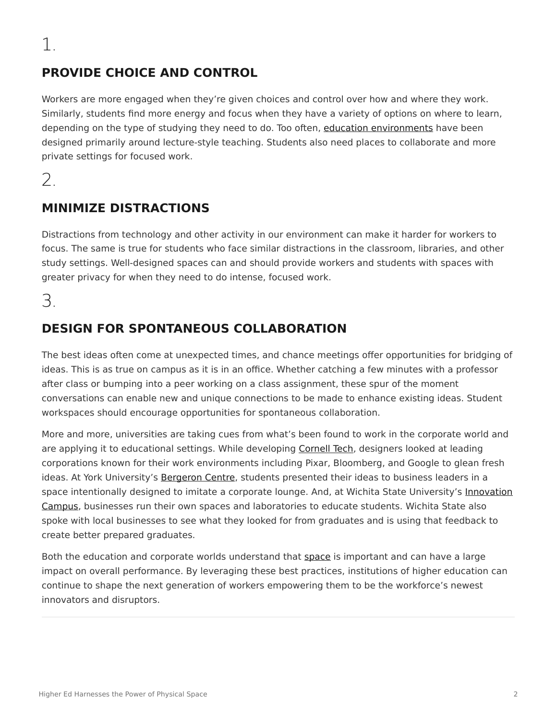### **PROVIDE CHOICE AND CONTROL**

Workers are more engaged when they're given choices and control over how and where they work. Similarly, students find more energy and focus when they have a variety of options on where to learn, depending on the type of studying they need to do. Too often, [education environments](https://www.steelcase.com/discover/information/education/) have been designed primarily around lecture-style teaching. Students also need places to collaborate and more private settings for focused work.

2.

### **MINIMIZE DISTRACTIONS**

Distractions from technology and other activity in our environment can make it harder for workers to focus. The same is true for students who face similar distractions in the classroom, libraries, and other study settings. Well-designed spaces can and should provide workers and students with spaces with greater privacy for when they need to do intense, focused work.

3.

## **DESIGN FOR SPONTANEOUS COLLABORATION**

The best ideas often come at unexpected times, and chance meetings offer opportunities for bridging of ideas. This is as true on campus as it is in an office. Whether catching a few minutes with a professor after class or bumping into a peer working on a class assignment, these spur of the moment conversations can enable new and unique connections to be made to enhance existing ideas. Student workspaces should encourage opportunities for spontaneous collaboration.

More and more, universities are taking cues from what's been found to work in the corporate world and are applying it to educational settings. While developing [Cornell Tech](http://tech.cornell.edu/future-campus), designers looked at leading corporations known for their work environments including Pixar, Bloomberg, and Google to glean fresh ideas. At York University's [Bergeron Centre](http://thebergeroncentre.ca/), students presented their ideas to business leaders in a space intentionally designed to imitate a corporate lounge. And, at Wichita State University's [Innovation](http://vimeo.com/110931562) [Campus](http://vimeo.com/110931562), businesses run their own spaces and laboratories to educate students. Wichita State also spoke with local businesses to see what they looked for from graduates and is using that feedback to create better prepared graduates.

Both the education and corporate worlds understand that [space](https://www.steelcase.com/insights/articles/power-of-place/) is important and can have a large impact on overall performance. By leveraging these best practices, institutions of higher education can continue to shape the next generation of workers empowering them to be the workforce's newest innovators and disruptors.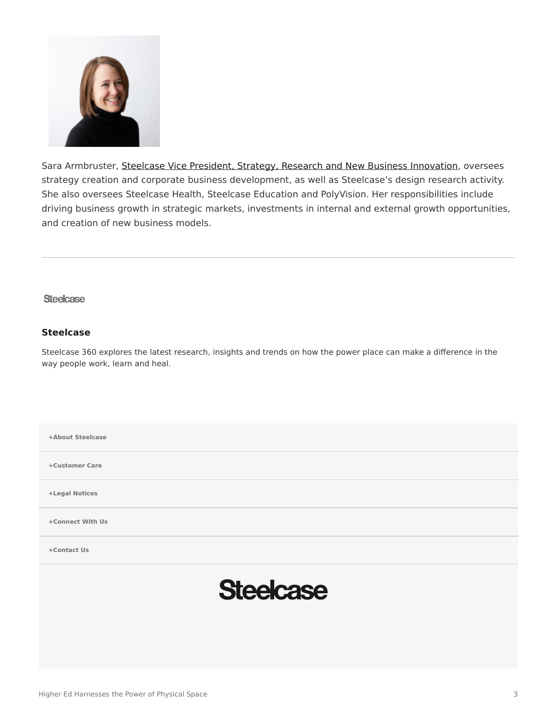

Sara Armbruster, [Steelcase Vice President, Strategy, Research and New Business Innovation,](https://www.linkedin.com/pulse/higher-education-harnesses-power-physical-space-sara-armbruster?articleId=6199300992140484608) oversees strategy creation and corporate business development, as well as Steelcase's design research activity. She also oversees Steelcase Health, Steelcase Education and PolyVision. Her responsibilities include driving business growth in strategic markets, investments in internal and external growth opportunities, and creation of new business models.

#### **Steelcase**

#### **[Steelcase](https://www.steelcase.com/research/articles/author/steelcase-360/)**

Steelcase 360 explores the latest research, insights and trends on how the power place can make a difference in the way people work, learn and heal.

| +About Steelcase |
|------------------|
| +Customer Care   |
| +Legal Notices   |
| +Connect With Us |
| +Contact Us      |
| <b>Steelcase</b> |